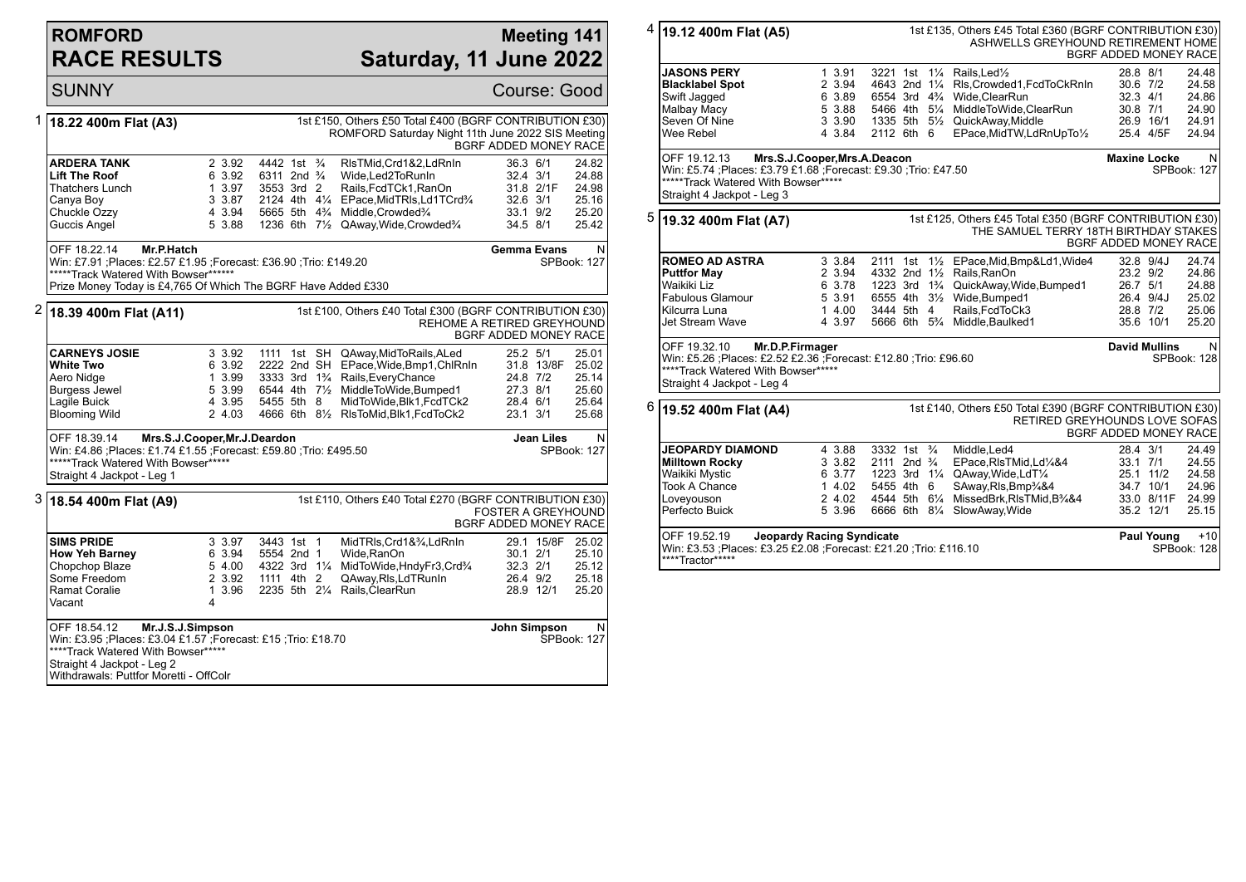## **ROMFORD RACE RESULTS**

## **Meeting 141 Saturday, 11 June 2022**

|                                                                                                                                                                                                                                               | <b>SUNNY</b>                                                                                                                                                                                                       |                                                                                                                |                                                                              |  |                                                         |                                                                                                                                                                                                                                                                            | Course: Good                                                         |                         |                                                    |
|-----------------------------------------------------------------------------------------------------------------------------------------------------------------------------------------------------------------------------------------------|--------------------------------------------------------------------------------------------------------------------------------------------------------------------------------------------------------------------|----------------------------------------------------------------------------------------------------------------|------------------------------------------------------------------------------|--|---------------------------------------------------------|----------------------------------------------------------------------------------------------------------------------------------------------------------------------------------------------------------------------------------------------------------------------------|----------------------------------------------------------------------|-------------------------|----------------------------------------------------|
| 1                                                                                                                                                                                                                                             | 18.22 400m Flat (A3)                                                                                                                                                                                               |                                                                                                                |                                                                              |  |                                                         | 1st £150, Others £50 Total £400 (BGRF CONTRIBUTION £30)<br>ROMFORD Saturday Night 11th June 2022 SIS Meeting                                                                                                                                                               | BGRF ADDED MONEY RACE                                                |                         |                                                    |
|                                                                                                                                                                                                                                               | ARDERA TANK<br><b>Lift The Roof</b><br><b>Thatchers Lunch</b><br>Canya Boy<br>Chuckle Ozzy<br>Guccis Angel                                                                                                         | 2 3.92<br>6 3.92<br>1 3.97<br>3 3.87<br>4 3.94<br>5 3.88                                                       | 4442 1st <sup>3</sup> / <sub>4</sub><br>6311 2nd $\frac{3}{4}$<br>3553 3rd 2 |  |                                                         | RIsTMid, Crd1&2, LdRnIn<br>Wide, Led <sub>2</sub> ToRunIn<br>Rails, FcdTCk1, RanOn<br>2124 4th 41/4 EPace, MidTRIs, Ld1TCrd3/4<br>5665 5th 4 <sup>3</sup> / <sub>4</sub> Middle, Crowded <sup>3</sup> / <sub>4</sub><br>1236 6th 71/2 QAway, Wide, Crowded <sup>3</sup> /4 | 36.3 6/1<br>$32.4$ $3/1$<br>$32.6$ $3/1$<br>$33.1$ $9/2$<br>34.5 8/1 | 31.8 2/1F               | 24.82<br>24.88<br>24.98<br>25.16<br>25.20<br>25.42 |
| OFF 18.22.14<br><b>Gemma Evans</b><br>Mr.P.Hatch<br>Win: £7.91 ;Places: £2.57 £1.95 ;Forecast: £36.90 ;Trio: £149.20<br>SPBook: 127<br>*****Track Watered With Bowser*******<br>Prize Money Today is £4,765 Of Which The BGRF Have Added £330 |                                                                                                                                                                                                                    |                                                                                                                |                                                                              |  |                                                         |                                                                                                                                                                                                                                                                            | N                                                                    |                         |                                                    |
| 2                                                                                                                                                                                                                                             | 18.39 400m Flat (A11)                                                                                                                                                                                              | 1st £100, Others £40 Total £300 (BGRF CONTRIBUTION £30)<br>REHOME A RETIRED GREYHOUND<br>BGRF ADDED MONEY RACE |                                                                              |  |                                                         |                                                                                                                                                                                                                                                                            |                                                                      |                         |                                                    |
|                                                                                                                                                                                                                                               | <b>CARNEYS JOSIE</b><br><b>White Two</b><br>Aero Nidge<br><b>Burgess Jewel</b><br>Lagile Buick<br><b>Blooming Wild</b>                                                                                             | 3 3.92<br>6 3.92<br>1 3.99<br>5 3.99<br>4 3.95<br>2 4.03                                                       | 5455 5th 8                                                                   |  |                                                         | 1111 1st SH QAway, Mid To Rails, ALed<br>2222 2nd SH EPace, Wide, Bmp1, ChlRnIn<br>3333 3rd 1% Rails, Every Chance<br>6544 4th 71/2 MiddleToWide, Bumped1<br>MidToWide, Blk1, FcdTCk2<br>4666 6th 81/2 RIsToMid, Blk1, FcdToCk2                                            | 25.2 5/1<br>24.8 7/2<br>27.3 8/1<br>28.4 6/1<br>23.1 3/1             | 31.8 13/8F              | 25.01<br>25.02<br>25.14<br>25.60<br>25.64<br>25.68 |
|                                                                                                                                                                                                                                               | Jean Liles<br>OFF 18.39.14<br>Mrs.S.J.Cooper, Mr.J.Deardon<br>Win: £4.86 ;Places: £1.74 £1.55 ;Forecast: £59.80 ;Trio: £495.50<br>SPBook: 127<br>*****Track Watered With Bowser*****<br>Straight 4 Jackpot - Leg 1 |                                                                                                                |                                                                              |  |                                                         |                                                                                                                                                                                                                                                                            |                                                                      | N                       |                                                    |
| 3<br>18.54 400m Flat (A9)                                                                                                                                                                                                                     |                                                                                                                                                                                                                    |                                                                                                                |                                                                              |  | 1st £110, Others £40 Total £270 (BGRF CONTRIBUTION £30) | <b>FOSTER A GREYHOUND</b><br>BGRF ADDED MONEY RACE                                                                                                                                                                                                                         |                                                                      |                         |                                                    |
|                                                                                                                                                                                                                                               | <b>SIMS PRIDE</b><br><b>How Yeh Barney</b><br>Chopchop Blaze<br>Some Freedom<br>Ramat Coralie<br>Vacant                                                                                                            | 3 3.97<br>6 3.94<br>5 4.00<br>2 3.92<br>1 3.96<br>4                                                            | 3443 1st 1<br>5554 2nd 1<br>4322 3rd 11/4<br>1111 4th 2                      |  |                                                         | MidTRIs, Crd1&3/4, LdRnIn<br>Wide.RanOn<br>MidToWide, HndyFr3, Crd3/4<br>QAway, RIs, LdTRunIn<br>2235 5th 21/4 Rails, ClearRun                                                                                                                                             | $30.1$ $2/1$<br>$32.3$ $2/1$<br>26.4 9/2                             | 29.1 15/8F<br>28.9 12/1 | 25.02<br>25.10<br>25.12<br>25.18<br>25.20          |
|                                                                                                                                                                                                                                               | OFF 18.54.12<br>Win: £3.95 ;Places: £3.04 £1.57 ;Forecast: £15 ;Trio: £18.70<br>****Track Watered With Bowser*****<br>Straight 4 Jackpot - Leg 2<br>Withdrawals: Puttfor Moretti - OffColr                         | Mr.J.S.J.Simpson                                                                                               |                                                                              |  |                                                         |                                                                                                                                                                                                                                                                            | John Simpson                                                         |                         | N<br>SPBook: 127                                   |

|   | $4 \vert$ 19.12 400m Flat (A5)                                                                                                                                                         |                                                          |                                                                                                             |  |  | 1st £135, Others £45 Total £360 (BGRF CONTRIBUTION £30)<br>ASHWELLS GREYHOUND RETIREMENT HOME                                                                                                                                | BGRF ADDED MONEY RACE                         |                                                   |                                                    |
|---|----------------------------------------------------------------------------------------------------------------------------------------------------------------------------------------|----------------------------------------------------------|-------------------------------------------------------------------------------------------------------------|--|--|------------------------------------------------------------------------------------------------------------------------------------------------------------------------------------------------------------------------------|-----------------------------------------------|---------------------------------------------------|----------------------------------------------------|
|   | <b>JASONS PERY</b><br><b>Blacklabel Spot</b><br>Swift Jagged<br>Malbay Macy<br>Seven Of Nine<br>Wee Rebel                                                                              | 1 3.91<br>2 3.94<br>6 3.89<br>5 3.88<br>3 3.90<br>4 3.84 | 4643 2nd 11/4<br>6554 3rd 4 <sup>3</sup> / <sub>4</sub><br>5466 4th 51/4<br>2112 6th 6                      |  |  | 3221 1st 11/4 Rails, Led <sup>1</sup> / <sub>2</sub><br>Rls, Crowded1, FcdToCkRnIn<br>Wide, ClearRun<br>MiddleToWide,ClearRun<br>1335 5th 51/ <sub>2</sub> QuickAway, Middle<br>EPace, MidTW, LdRnUpTo1/2                    | 28.8 8/1<br>30.6 7/2<br>32.3 4/1<br>30.8 7/1  | 26.9 16/1<br>25.4 4/5F                            | 24.48<br>24.58<br>24.86<br>24.90<br>24.91<br>24.94 |
|   | OFF 19.12.13<br>Mrs.S.J.Cooper, Mrs.A.Deacon<br>Win: £5.74 ; Places: £3.79 £1.68 ; Forecast: £9.30 ; Trio: £47.50<br>*****Track Watered With Bowser*****<br>Straight 4 Jackpot - Leg 3 |                                                          |                                                                                                             |  |  |                                                                                                                                                                                                                              | <b>Maxine Locke</b>                           |                                                   | N<br>SPBook: 127                                   |
|   | $5\,$  19.32 400m Flat (A7)                                                                                                                                                            |                                                          |                                                                                                             |  |  | 1st £125, Others £45 Total £350 (BGRF CONTRIBUTION £30)<br>THE SAMUEL TERRY 18TH BIRTHDAY STAKES                                                                                                                             | <b>BGRF ADDED MONEY RACE</b>                  |                                                   |                                                    |
|   | <b>ROMEO AD ASTRA</b><br><b>Puttfor May</b><br>Waikiki Liz<br><b>Fabulous Glamour</b><br>Kilcurra Luna<br>Jet Stream Wave                                                              | 3 3.84<br>2 3.94<br>6 3.78<br>5 3.91<br>14.00<br>4 3.97  | 1223 3rd 1 <sup>3</sup> / <sub>4</sub><br>3444 5th 4                                                        |  |  | 2111 1st 11/2 EPace, Mid, Bmp&Ld1, Wide4<br>4332 2nd 11/2 Rails, RanOn<br>QuickAway, Wide, Bumped1<br>6555 4th 31/ <sub>2</sub> Wide, Bumped 1<br>Rails, FcdToCk3<br>5666 6th 5 <sup>3</sup> / <sub>4</sub> Middle, Baulked1 | 32.8 9/4J<br>23.2 9/2<br>26.7 5/1<br>28.8 7/2 | 26.4 9/4J<br>35.6 10/1                            | 24.74<br>24.86<br>24.88<br>25.02<br>25.06<br>25.20 |
|   | OFF 19.32.10<br>Mr.D.P.Firmager<br>Win: £5.26 ;Places: £2.52 £2.36 ;Forecast: £12.80 ;Trio: £96.60<br>****Track Watered With Bowser*****<br>Straight 4 Jackpot - Leg 4                 |                                                          |                                                                                                             |  |  |                                                                                                                                                                                                                              | <b>David Mullins</b>                          |                                                   | N<br>SPBook: 128                                   |
| 6 | 1st £140, Others £50 Total £390 (BGRF CONTRIBUTION £30)<br>19.52 400m Flat (A4)<br>RETIRED GREYHOUNDS LOVE SOFAS<br>BGRF ADDED MONEY RACE                                              |                                                          |                                                                                                             |  |  |                                                                                                                                                                                                                              |                                               |                                                   |                                                    |
|   | <b>JEOPARDY DIAMOND</b><br><b>Milltown Rocky</b><br>Waikiki Mystic<br><b>Took A Chance</b><br>Loveyouson<br>Perfecto Buick                                                             | 4 3.88<br>3 3.82<br>6 3.77<br>14.02<br>2 4.02<br>5 3.96  | 3332 1st <sup>3</sup> / <sub>4</sub><br>2111 2nd <sup>3</sup> / <sub>4</sub><br>5455 4th 6<br>4544 5th 61/4 |  |  | Middle.Led4<br>EPace, RIsTMid, Ld1/4&4<br>1223 3rd 11/4 QAway, Wide, LdT1/4<br>SAway, RIs, Bmp3/4&4<br>MissedBrk, RIsTMid, B34&4<br>6666 6th 81/4 SlowAway, Wide                                                             | 28.4 3/1<br>33.1 7/1                          | 25.1 11/2<br>34.7 10/1<br>33.0 8/11F<br>35.2 12/1 | 24.49<br>24.55<br>24.58<br>24.96<br>24.99<br>25.15 |
|   | OFF 19.52.19<br><b>Jeopardy Racing Syndicate</b><br>Win: £3.53 ;Places: £3.25 £2.08 ;Forecast: £21.20 ;Trio: £116.10<br>*****Tractor*****                                              |                                                          |                                                                                                             |  |  |                                                                                                                                                                                                                              |                                               | Paul Young                                        | +10<br>SPBook: 128                                 |